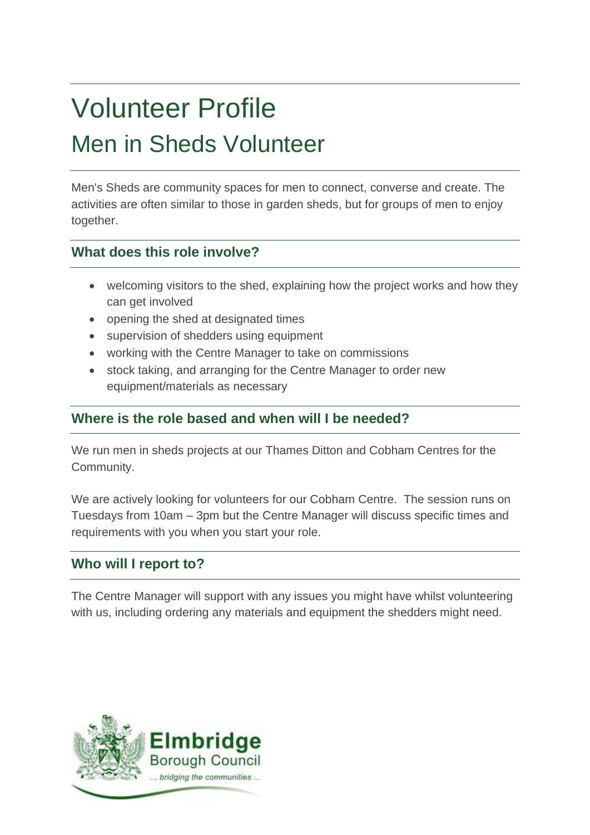# Volunteer Profile Men in Sheds Volunteer

Men's Sheds are community spaces for men to connect, converse and create. The activities are often similar to those in garden sheds, but for groups of men to enjoy together.

# **What does this role involve?**

- welcoming visitors to the shed, explaining how the project works and how they can get involved
- opening the shed at designated times
- supervision of shedders using equipment
- working with the Centre Manager to take on commissions
- stock taking, and arranging for the Centre Manager to order new equipment/materials as necessary

# **Where is the role based and when will I be needed?**

We run men in sheds projects at our Thames Ditton and Cobham Centres for the Community.

We are actively looking for volunteers for our Cobham Centre. The session runs on Tuesdays from 10am – 3pm but the Centre Manager will discuss specific times and requirements with you when you start your role.

# **Who will I report to?**

The Centre Manager will support with any issues you might have whilst volunteering with us, including ordering any materials and equipment the shedders might need.